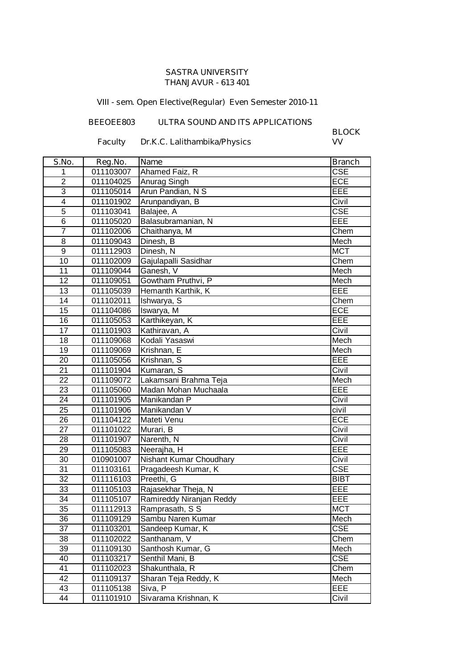## **SASTRA UNIVERSITY THANJAVUR - 613 401**

## **VIII - sem. Open Elective(Regular) Even Semester 2010-11**

## **BEEOEE803 ULTRA SOUND AND ITS APPLICATIONS**

**Faculty Dr.K.C. Lalithambika/Physics** 

**BLOCK**

| S.No.           | Reg.No.   | <b>Name</b>              | <b>Branch</b>           |
|-----------------|-----------|--------------------------|-------------------------|
| 1               | 011103007 | Ahamed Faiz, R           | $\overline{\text{CSE}}$ |
| $\overline{2}$  | 011104025 | Anurag Singh             | ECE                     |
| 3               | 011105014 | Arun Pandian, N S        | EEE                     |
| $\overline{4}$  | 011101902 | Arunpandiyan, B          | Civil                   |
| $\overline{5}$  | 011103041 | Balajee, A               | CSE                     |
| 6               | 011105020 | Balasubramanian, N       | EEE                     |
| $\overline{7}$  | 011102006 | Chaithanya, M            | Chem                    |
| 8               | 011109043 | Dinesh, B                | Mech                    |
| 9               | 011112903 | Dinesh, N                | <b>MCT</b>              |
| 10              | 011102009 | Gajulapalli Sasidhar     | Chem                    |
| 11              | 011109044 | Ganesh, V                | Mech                    |
| 12              | 011109051 | Gowtham Pruthvi, P       | Mech                    |
| 13              | 011105039 | Hemanth Karthik, K       | EEE                     |
| 14              | 011102011 | Ishwarya, S              | Chem                    |
| 15              | 011104086 | Iswarya, M               | <b>ECE</b>              |
| 16              | 011105053 | Karthikeyan, K           | EEE                     |
| $\overline{17}$ | 011101903 | Kathiravan, A            | Civil                   |
| 18              | 011109068 | Kodali Yasaswi           | Mech                    |
| 19              | 011109069 | Krishnan, E              | Mech                    |
| 20              | 011105056 | Krishnan, S              | EEE                     |
| 21              | 011101904 | Kumaran, S               | Civil                   |
| 22              | 011109072 | Lakamsani Brahma Teja    | Mech                    |
| 23              | 011105060 | Madan Mohan Muchaala     | EEE                     |
| 24              | 011101905 | Manikandan P             | Civil                   |
| 25              | 011101906 | Manikandan V             | civil                   |
| 26              | 011104122 | Mateti Venu              | <b>ECE</b>              |
| 27              | 011101022 | Murari, B                | Civil                   |
| 28              | 011101907 | Narenth, N               | Civil                   |
| 29              | 011105083 | Neerajha, H              | EEE                     |
| 30              | 010901007 | Nishant Kumar Choudhary  | Civil                   |
| 31              | 011103161 | Pragadeesh Kumar, K      | CSE                     |
| 32              | 011116103 | Preethi, G               | <b>BIBT</b>             |
| 33              | 011105103 | Rajasekhar Theja, N      | EEE                     |
| 34              | 011105107 | Ramireddy Niranjan Reddy | EEE                     |
| 35              | 011112913 | Ramprasath, S S          | <b>MCT</b>              |
| 36              | 011109129 | Sambu Naren Kumar        | Mech                    |
| 37              | 011103201 | Sandeep Kumar, K         | <b>CSE</b>              |
| 38              | 011102022 | Santhanam, V             | Chem                    |
| 39              | 011109130 | Santhosh Kumar, G        | Mech                    |
| 40              | 011103217 | Senthil Mani, B          | <b>CSE</b>              |
| 41              | 011102023 | Shakunthala, R           | Chem                    |
| 42              | 011109137 | Sharan Teja Reddy, K     | Mech                    |
| 43              | 011105138 | Siva, P                  | EEE                     |
| 44              | 011101910 | Sivarama Krishnan, K     | Civil                   |